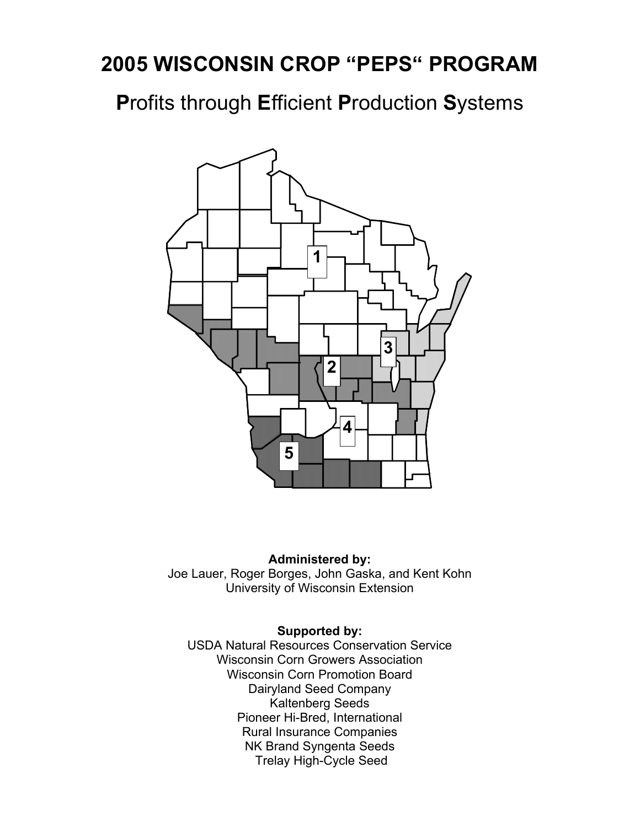# **2005 WISCONSIN CROP "PEPS" PROGRAM**

**P**rofits through **E**fficient **P**roduction **S**ystems



#### **Administered by:**

Joe Lauer, Roger Borges, John Gaska, and Kent Kohn University of Wisconsin Extension

#### **Supported by:**

USDA Natural Resources Conservation Service Wisconsin Corn Growers Association Wisconsin Corn Promotion Board Dairyland Seed Company Kaltenberg Seeds Pioneer Hi-Bred, International Rural Insurance Companies NK Brand Syngenta Seeds Trelay High-Cycle Seed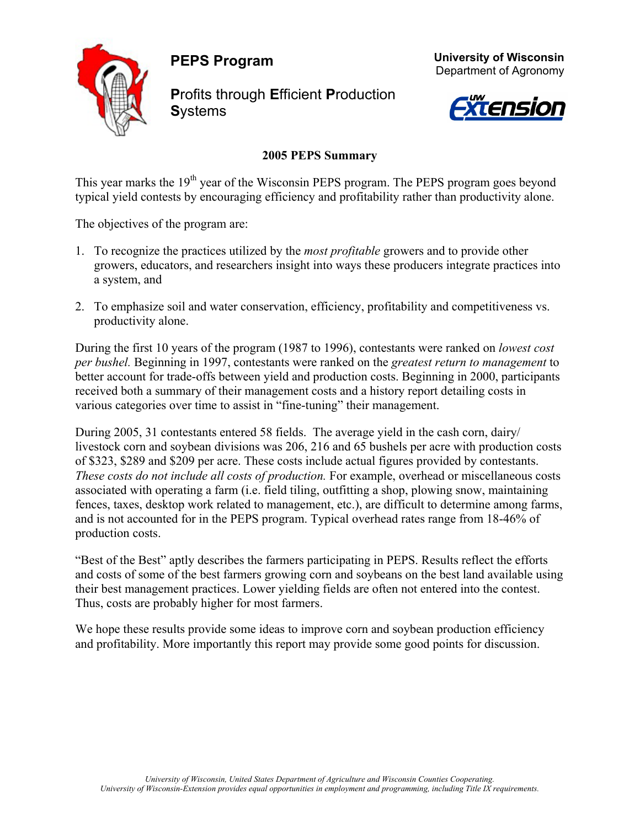**PEPS Program** 



**P**rofits through **E**fficient **P**roduction **S**ystems





#### **2005 PEPS Summary**

This year marks the  $19<sup>th</sup>$  year of the Wisconsin PEPS program. The PEPS program goes beyond typical yield contests by encouraging efficiency and profitability rather than productivity alone.

The objectives of the program are:

- 1. To recognize the practices utilized by the *most profitable* growers and to provide other growers, educators, and researchers insight into ways these producers integrate practices into a system, and
- 2. To emphasize soil and water conservation, efficiency, profitability and competitiveness vs. productivity alone.

During the first 10 years of the program (1987 to 1996), contestants were ranked on *lowest cost per bushel.* Beginning in 1997, contestants were ranked on the *greatest return to management* to better account for trade-offs between yield and production costs. Beginning in 2000, participants received both a summary of their management costs and a history report detailing costs in various categories over time to assist in "fine-tuning" their management.

During 2005, 31 contestants entered 58 fields. The average yield in the cash corn, dairy/ livestock corn and soybean divisions was 206, 216 and 65 bushels per acre with production costs of \$323, \$289 and \$209 per acre. These costs include actual figures provided by contestants. *These costs do not include all costs of production.* For example, overhead or miscellaneous costs associated with operating a farm (i.e. field tiling, outfitting a shop, plowing snow, maintaining fences, taxes, desktop work related to management, etc.), are difficult to determine among farms, and is not accounted for in the PEPS program. Typical overhead rates range from 18-46% of production costs.

"Best of the Best" aptly describes the farmers participating in PEPS. Results reflect the efforts and costs of some of the best farmers growing corn and soybeans on the best land available using their best management practices. Lower yielding fields are often not entered into the contest. Thus, costs are probably higher for most farmers.

We hope these results provide some ideas to improve corn and soybean production efficiency and profitability. More importantly this report may provide some good points for discussion.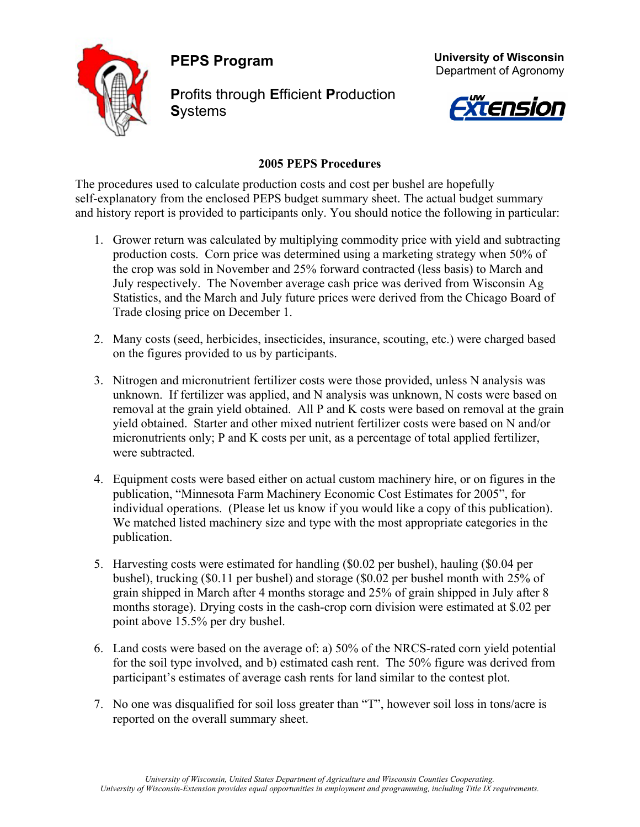**PEPS Program** 



**P**rofits through **E**fficient **P**roduction **S**ystems





#### **2005 PEPS Procedures**

The procedures used to calculate production costs and cost per bushel are hopefully self-explanatory from the enclosed PEPS budget summary sheet. The actual budget summary and history report is provided to participants only. You should notice the following in particular:

- 1. Grower return was calculated by multiplying commodity price with yield and subtracting production costs. Corn price was determined using a marketing strategy when 50% of the crop was sold in November and 25% forward contracted (less basis) to March and July respectively. The November average cash price was derived from Wisconsin Ag Statistics, and the March and July future prices were derived from the Chicago Board of Trade closing price on December 1.
- 2. Many costs (seed, herbicides, insecticides, insurance, scouting, etc.) were charged based on the figures provided to us by participants.
- 3. Nitrogen and micronutrient fertilizer costs were those provided, unless N analysis was unknown. If fertilizer was applied, and N analysis was unknown, N costs were based on removal at the grain yield obtained. All P and K costs were based on removal at the grain yield obtained. Starter and other mixed nutrient fertilizer costs were based on N and/or micronutrients only; P and K costs per unit, as a percentage of total applied fertilizer, were subtracted.
- 4. Equipment costs were based either on actual custom machinery hire, or on figures in the publication, "Minnesota Farm Machinery Economic Cost Estimates for 2005", for individual operations. (Please let us know if you would like a copy of this publication). We matched listed machinery size and type with the most appropriate categories in the publication.
- 5. Harvesting costs were estimated for handling (\$0.02 per bushel), hauling (\$0.04 per bushel), trucking (\$0.11 per bushel) and storage (\$0.02 per bushel month with 25% of grain shipped in March after 4 months storage and 25% of grain shipped in July after 8 months storage). Drying costs in the cash-crop corn division were estimated at \$.02 per point above 15.5% per dry bushel.
- 6. Land costs were based on the average of: a) 50% of the NRCS-rated corn yield potential for the soil type involved, and b) estimated cash rent. The 50% figure was derived from participant's estimates of average cash rents for land similar to the contest plot.
- 7. No one was disqualified for soil loss greater than "T", however soil loss in tons/acre is reported on the overall summary sheet.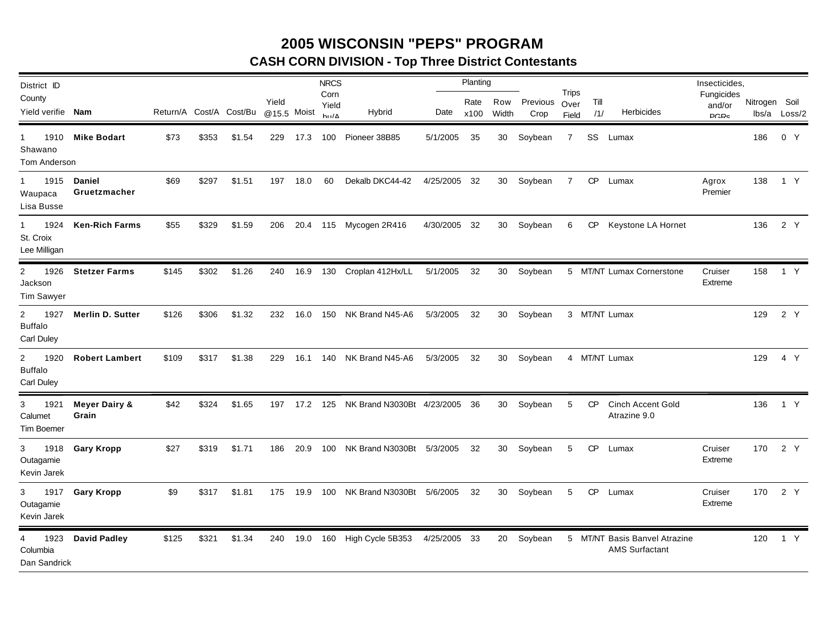## **2005 WISCONSIN "PEPS" PROGRAM CASH CORN DIVISION - Top Three District Contestants**

| District ID                                                   |                                   |       |       |                         |                      |      | <b>NRCS</b>                      |                                            |              | Planting     |              |                  |                               |             |                                                        | Insecticides,                            |               |              |
|---------------------------------------------------------------|-----------------------------------|-------|-------|-------------------------|----------------------|------|----------------------------------|--------------------------------------------|--------------|--------------|--------------|------------------|-------------------------------|-------------|--------------------------------------------------------|------------------------------------------|---------------|--------------|
| County<br>Yield verifie Nam                                   |                                   |       |       | Return/A Cost/A Cost/Bu | Yield<br>@15.5 Moist |      | Corn<br>Yield<br>$h_{11}/\Delta$ | Hybrid                                     | Date         | Rate<br>x100 | Row<br>Width | Previous<br>Crop | <b>Trips</b><br>Over<br>Field | Till<br>/1/ | <b>Herbicides</b>                                      | Fungicides<br>and/or<br>DCD <sub>c</sub> | Nitrogen Soil | lbs/a Loss/2 |
| 1910<br>$\mathbf{1}$<br>Shawano<br>Tom Anderson               | <b>Mike Bodart</b>                | \$73  | \$353 | \$1.54                  | 229                  | 17.3 |                                  | 100 Pioneer 38B85                          | 5/1/2005     | 35           | 30           | Soybean          | $\overline{7}$                |             | SS Lumax                                               |                                          | 186           | 0 Y          |
| $\mathbf{1}$<br>1915<br>Waupaca<br>Lisa Busse                 | <b>Daniel</b><br>Gruetzmacher     | \$69  | \$297 | \$1.51                  | 197                  | 18.0 | 60                               | Dekalb DKC44-42                            | 4/25/2005 32 |              |              | 30 Soybean       | 7                             | CP          | Lumax                                                  | Agrox<br>Premier                         | 138           | 1 Y          |
| 1924<br>$\mathbf{1}$<br>St. Croix<br>Lee Milligan             | <b>Ken-Rich Farms</b>             | \$55  | \$329 | \$1.59                  | 206                  |      |                                  | 20.4 115 Mycogen 2R416                     | 4/30/2005 32 |              |              | 30 Soybean       | 6                             |             | CP Keystone LA Hornet                                  |                                          | 136           | 2 Y          |
| 1926<br>$\overline{2}$<br>Jackson<br><b>Tim Sawyer</b>        | <b>Stetzer Farms</b>              | \$145 | \$302 | \$1.26                  | 240                  |      |                                  | 16.9 130 Croplan 412Hx/LL                  | 5/1/2005 32  |              |              | 30 Soybean       |                               |             | 5 MT/NT Lumax Cornerstone                              | Cruiser<br>Extreme                       | 158           | 1 Y          |
| $\overline{2}$<br>1927<br><b>Buffalo</b><br><b>Carl Duley</b> | <b>Merlin D. Sutter</b>           | \$126 | \$306 | \$1.32                  | 232                  | 16.0 | 150                              | NK Brand N45-A6                            | 5/3/2005     | -32          |              | 30 Soybean       |                               |             | 3 MT/NT Lumax                                          |                                          | 129           | 2 Y          |
| $\overline{2}$<br>1920<br><b>Buffalo</b><br><b>Carl Duley</b> | <b>Robert Lambert</b>             | \$109 | \$317 | \$1.38                  | 229                  | 16.1 |                                  | 140 NK Brand N45-A6                        | 5/3/2005     | 32           |              | 30 Soybean       |                               |             | 4 MT/NT Lumax                                          |                                          | 129           | 4 Y          |
| 3<br>1921<br>Calumet<br><b>Tim Boemer</b>                     | <b>Meyer Dairy &amp;</b><br>Grain | \$42  | \$324 | \$1.65                  |                      |      |                                  | 197 17.2 125 NK Brand N3030Bt 4/23/2005 36 |              |              |              | 30 Soybean       | 5                             | <b>CP</b>   | <b>Cinch Accent Gold</b><br>Atrazine 9.0               |                                          | 136           | 1 Y          |
| 3 1918<br>Outagamie<br>Kevin Jarek                            | <b>Gary Kropp</b>                 | \$27  | \$319 | \$1.71                  | 186                  | 20.9 | 100                              | NK Brand N3030Bt 5/3/2005                  |              | 32           | 30           | Soybean          | 5                             | CP.         | Lumax                                                  | Cruiser<br>Extreme                       | 170           | 2 Y          |
| $3^{\circ}$<br>1917<br>Outagamie<br>Kevin Jarek               | <b>Gary Kropp</b>                 | \$9   | \$317 | \$1.81                  | 175                  | 19.9 |                                  | 100 NK Brand N3030Bt 5/6/2005              |              | 32           |              | 30 Soybean       | 5                             |             | CP Lumax                                               | Cruiser<br>Extreme                       | 170           | 2 Y          |
| 1923<br>4<br>Columbia<br>Dan Sandrick                         | <b>David Padley</b>               | \$125 | \$321 | \$1.34                  | 240                  |      |                                  | 19.0 160 High Cycle 5B353                  | 4/25/2005 33 |              |              | 20 Soybean       |                               |             | 5 MT/NT Basis Banvel Atrazine<br><b>AMS Surfactant</b> |                                          | 120           | 1 Y          |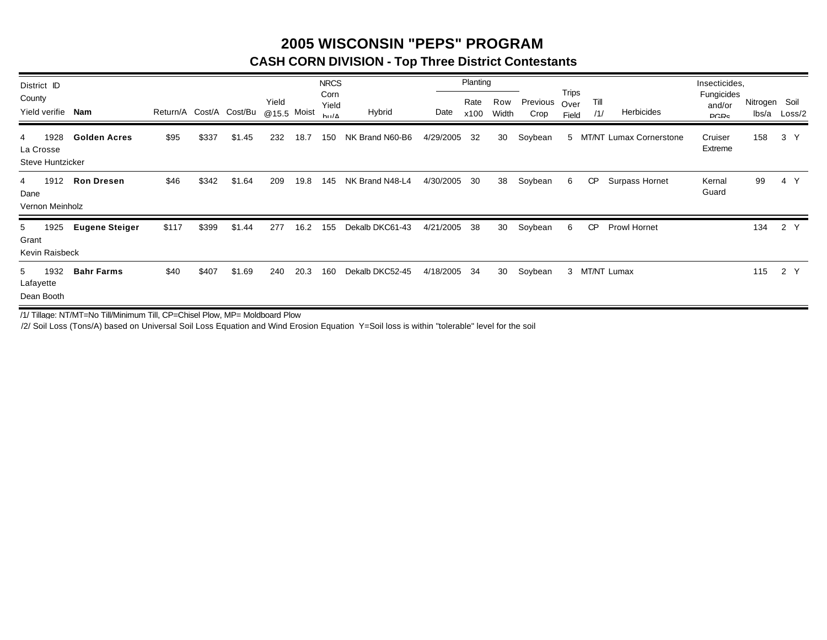### **2005 WISCONSIN "PEPS" PROGRAM CASH CORN DIVISION - Top Three District Contestants**

| District ID                                       |                       |                         |       |            |                      |      | <b>NRCS</b><br>Corn      |                 |           | Planting     |              |                  | <b>Trips</b>  |             |                                | Insecticides,<br>Fungicides |                        |                |
|---------------------------------------------------|-----------------------|-------------------------|-------|------------|----------------------|------|--------------------------|-----------------|-----------|--------------|--------------|------------------|---------------|-------------|--------------------------------|-----------------------------|------------------------|----------------|
| County<br>Yield verifie                           | Nam                   | Return/A Cost/A Cost/Bu |       |            | Yield<br>@15.5 Moist |      | Yield<br>$h_{11}/\Delta$ | Hybrid          | Date      | Rate<br>x100 | Row<br>Width | Previous<br>Crop | Over<br>Field | Till<br>/1/ | <b>Herbicides</b>              | and/or<br>DCD <sub>c</sub>  | Nitrogen Soil<br>lbs/a | Loss/2         |
| 1928<br>4<br>La Crosse<br><b>Steve Huntzicker</b> | <b>Golden Acres</b>   | \$95                    | \$337 | \$1<br>.45 | 232                  | 18.7 | 150                      | NK Brand N60-B6 | 4/29/2005 | 32           | 30           | Soybean          | 5             |             | <b>MT/NT Lumax Cornerstone</b> | Cruiser<br>Extreme          | 158                    | 3 <sup>7</sup> |
| 1912<br>4<br>Dane<br>Vernon Meinholz              | <b>Ron Dresen</b>     | \$46                    | \$342 | \$1.64     | 209                  | 19.8 | 145                      | NK Brand N48-L4 | 4/30/2005 | 30           | 38           | Soybean          | 6             | <b>CP</b>   | Surpass Hornet                 | Kernal<br>Guard             | 99                     | 4 Y            |
| 1925<br>5 <sub>5</sub><br>Grant<br>Kevin Raisbeck | <b>Eugene Steiger</b> | \$117                   | \$399 | \$1.44     | 277                  | 16.2 | 155                      | Dekalb DKC61-43 | 4/21/2005 | 38           | 30           | Soybean          | 6             | <b>CP</b>   | <b>Prowl Hornet</b>            |                             | 134                    | 2 Y            |
| 1932<br>5<br>Lafayette<br>Dean Booth              | <b>Bahr Farms</b>     | \$40                    | \$407 | \$1.69     | 240                  | 20.3 | 160                      | Dekalb DKC52-45 | 4/18/2005 | 34           | 30           | Soybean          |               |             | 3 MT/NT Lumax                  |                             | 115                    | 2 Y            |

/1/ Tillage: NT/MT=No Till/Minimum Till, CP=Chisel Plow, MP= Moldboard Plow

/2/ Soil Loss (Tons/A) based on Universal Soil Loss Equation and Wind Erosion Equation Y=Soil loss is within "tolerable" level for the soil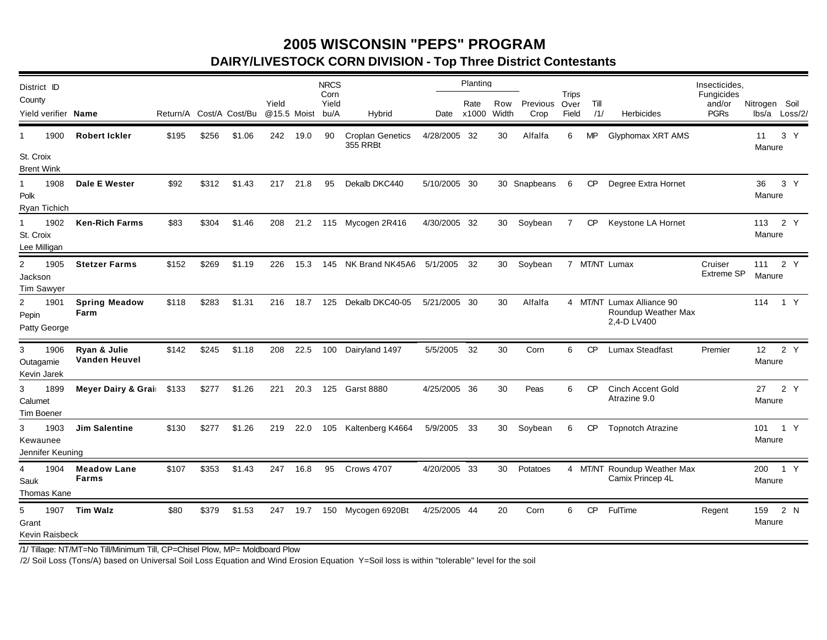### **2005 WISCONSIN "PEPS" PROGRAM DAIRY/LIVESTOCK CORN DIVISION - Top Three District Contestants**

| District ID<br>County                           |                               |                         |       |        | Yield       |          | <b>NRCS</b><br>Corn<br>Yield |                                     |              | Planting<br>Rate | Row   | Previous     | Trips<br>Over | Till      |                                                                 | Insecticides,<br>Fungicides<br>and/or | Nitrogen Soil |                |
|-------------------------------------------------|-------------------------------|-------------------------|-------|--------|-------------|----------|------------------------------|-------------------------------------|--------------|------------------|-------|--------------|---------------|-----------|-----------------------------------------------------------------|---------------------------------------|---------------|----------------|
| Yield verifier <b>Name</b>                      |                               | Return/A Cost/A Cost/Bu |       |        | @15.5 Moist |          | bu/A                         | Hybrid                              |              | Date x1000       | Width | Crop         | Field         | /1/       | <b>Herbicides</b>                                               | <b>PGRs</b>                           |               | lbs/a Loss/2/  |
| 1900<br>1                                       | <b>Robert Ickler</b>          | \$195                   | \$256 | \$1.06 | 242         | 19.0     | 90                           | <b>Croplan Genetics</b><br>355 RRBt | 4/28/2005 32 |                  | 30    | Alfalfa      | 6             | MP        | Glyphomax XRT AMS                                               |                                       | 11<br>Manure  | 3 <sup>Y</sup> |
| St. Croix<br><b>Brent Wink</b>                  |                               |                         |       |        |             |          |                              |                                     |              |                  |       |              |               |           |                                                                 |                                       |               |                |
| 1<br>1908<br>Polk<br>Ryan Tichich               | Dale E Wester                 | \$92                    | \$312 | \$1.43 |             | 217 21.8 | 95                           | Dekalb DKC440                       | 5/10/2005 30 |                  |       | 30 Snapbeans | 6             | CP        | Degree Extra Hornet                                             |                                       | 36<br>Manure  | 3 Y            |
| 1<br>1902<br>St. Croix<br>Lee Milligan          | <b>Ken-Rich Farms</b>         | \$83                    | \$304 | \$1.46 |             |          |                              | 208 21.2 115 Mycogen 2R416          | 4/30/2005 32 |                  |       | 30 Soybean   | 7             |           | CP Keystone LA Hornet                                           |                                       | 113<br>Manure | 2 Y            |
| $\overline{2}$<br>1905<br>Jackson<br>Tim Sawyer | <b>Stetzer Farms</b>          | \$152                   | \$269 | \$1.19 | 226         | 15.3     |                              | 145 NK Brand NK45A6                 | 5/1/2005 32  |                  | 30    | Soybean      |               |           | 7 MT/NT Lumax                                                   | Cruiser<br><b>Extreme SP</b>          | 111<br>Manure | 2 Y            |
| 2<br>1901<br>Pepin<br>Patty George              | <b>Spring Meadow</b><br>Farm  | \$118                   | \$283 | \$1.31 | 216         | 18.7     | 125                          | Dekalb DKC40-05                     | 5/21/2005 30 |                  | 30    | Alfalfa      |               |           | 4 MT/NT Lumax Alliance 90<br>Roundup Weather Max<br>2,4-D LV400 |                                       | 114           | 1 Y            |
| 3<br>1906<br>Outagamie<br>Kevin Jarek           | Ryan & Julie<br>Vanden Heuvel | \$142                   | \$245 | \$1.18 | 208         | 22.5     |                              | 100 Dairyland 1497                  | 5/5/2005 32  |                  | 30    | Corn         | 6             | <b>CP</b> | Lumax Steadfast                                                 | Premier                               | 12<br>Manure  | 2 Y            |
| 3<br>1899<br>Calumet<br><b>Tim Boener</b>       | Meyer Dairy & Grai \$133      |                         | \$277 | \$1.26 | 221         | 20.3     |                              | 125 Garst 8880                      | 4/25/2005 36 |                  | 30    | Peas         | 6             | <b>CP</b> | Cinch Accent Gold<br>Atrazine 9.0                               |                                       | 27<br>Manure  | 2 Y            |
| 3<br>1903<br>Kewaunee<br>Jennifer Keuning       | <b>Jim Salentine</b>          | \$130                   | \$277 | \$1.26 | 219         | 22.0     |                              | 105 Kaltenberg K4664                | 5/9/2005 33  |                  | 30    | Soybean      | 6             | CP        | <b>Topnotch Atrazine</b>                                        |                                       | Manure        | 101 1 Y        |
| 1904<br>4<br>Sauk<br>Thomas Kane                | <b>Meadow Lane</b><br>Farms   | \$107                   | \$353 | \$1.43 | 247         | 16.8     | 95                           | Crows 4707                          | 4/20/2005 33 |                  | 30    | Potatoes     |               |           | 4 MT/NT Roundup Weather Max<br>Camix Princep 4L                 |                                       | Manure        | 200 1 Y        |
| 1907<br>5<br>Grant<br>Kevin Raisbeck            | <b>Tim Walz</b>               | \$80                    | \$379 | \$1.53 |             | 247 19.7 |                              | 150 Mycogen 6920Bt                  | 4/25/2005 44 |                  | 20    | Corn         | 6             | CP        | <b>FulTime</b>                                                  | Regent                                | 159<br>Manure | 2 N            |

/1/ Tillage: NT/MT=No Till/Minimum Till, CP=Chisel Plow, MP= Moldboard Plow

/2/ Soil Loss (Tons/A) based on Universal Soil Loss Equation and Wind Erosion Equation Y=Soil loss is within "tolerable" level for the soil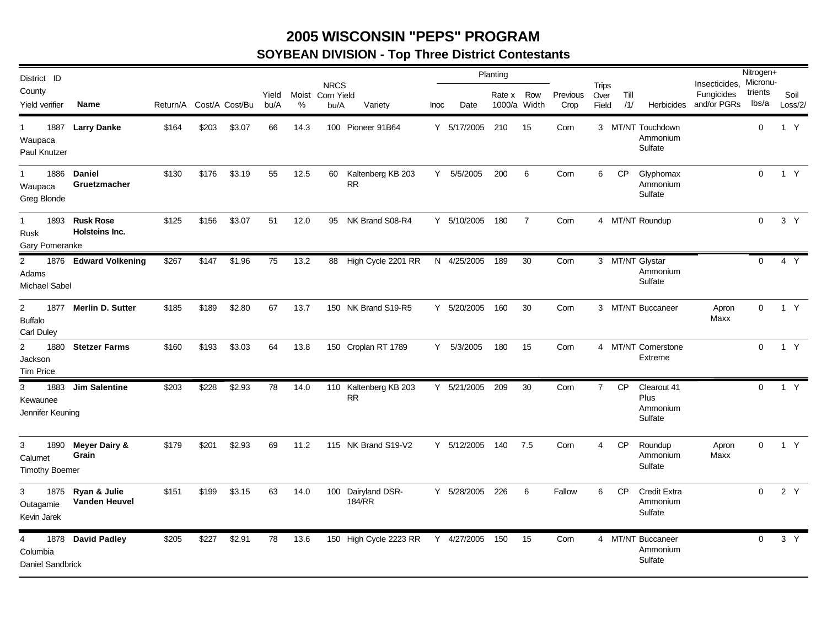### **2005 WISCONSIN "PEPS" PROGRAM**

# **SOYBEAN DIVISION - Top Three District Contestants**

| District ID                                           |                                    |                         |       |        |               |            |                                   |                                    |      |             | Planting               |     |                  |                               |             |                                            | Insecticides, Micronu-    | Nitrogen+        |                 |
|-------------------------------------------------------|------------------------------------|-------------------------|-------|--------|---------------|------------|-----------------------------------|------------------------------------|------|-------------|------------------------|-----|------------------|-------------------------------|-------------|--------------------------------------------|---------------------------|------------------|-----------------|
| County<br>Yield verifier                              | Name                               | Return/A Cost/A Cost/Bu |       |        | Yield<br>bu/A | Moist<br>% | <b>NRCS</b><br>Corn Yield<br>bu/A | Variety                            | Inoc | Date        | Rate x<br>1000/a Width | Row | Previous<br>Crop | <b>Trips</b><br>Over<br>Field | Till<br>/1/ | Herbicides                                 | Fungicides<br>and/or PGRs | trients<br>lbs/a | Soil<br>Loss/2/ |
| 1887<br>1<br>Waupaca<br>Paul Knutzer                  | <b>Larry Danke</b>                 | \$164                   | \$203 | \$3.07 | 66            | 14.3       |                                   | 100 Pioneer 91B64                  |      | Y 5/17/2005 | 210                    | 15  | Corn             |                               |             | 3 MT/NT Touchdown<br>Ammonium<br>Sulfate   |                           | $\mathbf 0$      | 1 Y             |
| $\mathbf{1}$<br>1886<br>Waupaca<br>Greg Blonde        | Daniel<br>Gruetzmacher             | \$130                   | \$176 | \$3.19 | 55            | 12.5       | 60                                | Kaltenberg KB 203<br><b>RR</b>     |      | Y 5/5/2005  | 200                    | 6   | Corn             | 6                             | <b>CP</b>   | Glyphomax<br>Ammonium<br>Sulfate           |                           | $\mathbf{0}$     | 1 Y             |
| 1893<br>$\mathbf{1}$<br>Rusk<br>Gary Pomeranke        | <b>Rusk Rose</b><br>Holsteins Inc. | \$125                   | \$156 | \$3.07 | 51            | 12.0       | 95                                | NK Brand S08-R4                    |      | Y 5/10/2005 | 180                    | 7   | Corn             |                               |             | 4 MT/NT Roundup                            |                           | $\Omega$         | 3 Y             |
| 2<br>Adams<br><b>Michael Sabel</b>                    | 1876 Edward Volkening              | \$267                   | \$147 | \$1.96 | 75            | 13.2       |                                   | 88 High Cycle 2201 RR              |      | N 4/25/2005 | 189                    | 30  | Corn             |                               |             | 3 MT/NT Glystar<br>Ammonium<br>Sulfate     |                           | $\Omega$         | 4 Y             |
| $\overline{2}$<br><b>Buffalo</b><br><b>Carl Duley</b> | 1877 Merlin D. Sutter              | \$185                   | \$189 | \$2.80 | 67            | 13.7       |                                   | 150 NK Brand S19-R5                |      | Y 5/20/2005 | 160                    | 30  | Corn             |                               |             | 3 MT/NT Buccaneer                          | Apron<br>Maxx             | $\Omega$         | 1 Y             |
| $\overline{2}$<br>1880<br>Jackson<br><b>Tim Price</b> | <b>Stetzer Farms</b>               | \$160                   | \$193 | \$3.03 | 64            | 13.8       |                                   | 150 Croplan RT 1789                |      | Y 5/3/2005  | 180                    | 15  | Corn             |                               |             | 4 MT/NT Cornerstone<br>Extreme             |                           | $\Omega$         | 1 Y             |
| 3<br>1883<br>Kewaunee<br>Jennifer Keuning             | <b>Jim Salentine</b>               | \$203                   | \$228 | \$2.93 | 78            | 14.0       |                                   | 110 Kaltenberg KB 203<br><b>RR</b> |      | Y 5/21/2005 | 209                    | 30  | Corn             | $\overline{7}$                | CP          | Clearout 41<br>Plus<br>Ammonium<br>Sulfate |                           | $\overline{0}$   | 1 Y             |
| 3<br>1890<br>Calumet<br><b>Timothy Boemer</b>         | <b>Meyer Dairy &amp;</b><br>Grain  | \$179                   | \$201 | \$2.93 | 69            | 11.2       |                                   | 115 NK Brand S19-V2                |      | Y 5/12/2005 | 140                    | 7.5 | Corn             | 4                             | <b>CP</b>   | Roundup<br>Ammonium<br>Sulfate             | Apron<br>Maxx             | $\Omega$         | 1 Y             |
| 3<br>1875<br>Outagamie<br>Kevin Jarek                 | Ryan & Julie<br>Vanden Heuvel      | \$151                   | \$199 | \$3.15 | 63            | 14.0       |                                   | 100 Dairyland DSR-<br>184/RR       |      | Y 5/28/2005 | 226                    | 6   | Fallow           | 6                             | <b>CP</b>   | <b>Credit Extra</b><br>Ammonium<br>Sulfate |                           | $\mathbf{0}$     | 2 Y             |
| 4<br>1878<br>Columbia<br>Daniel Sandbrick             | <b>David Padley</b>                | \$205                   | \$227 | \$2.91 | 78            | 13.6       |                                   | 150 High Cycle 2223 RR Y 4/27/2005 |      |             | 150                    | 15  | Corn             |                               |             | 4 MT/NT Buccaneer<br>Ammonium<br>Sulfate   |                           | $\mathbf{0}$     | 3 Y             |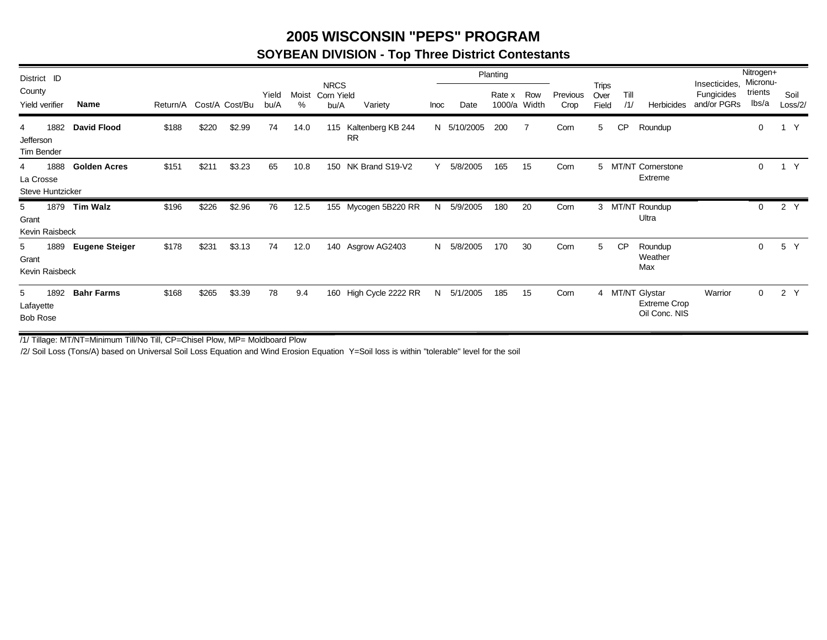### **2005 WISCONSIN "PEPS" PROGRAM**

#### **SOYBEAN DIVISION - Top Three District Contestants**

| District ID                               |      |                       |                         |       |        |               |            |                                   |                                    |      |             | Planting         |              |                  |                        |             |                                                         | Insecticides,             | Nitrogen+<br>Micronu- |                 |
|-------------------------------------------|------|-----------------------|-------------------------|-------|--------|---------------|------------|-----------------------------------|------------------------------------|------|-------------|------------------|--------------|------------------|------------------------|-------------|---------------------------------------------------------|---------------------------|-----------------------|-----------------|
| County<br>Yield verifier                  |      | <b>Name</b>           | Return/A Cost/A Cost/Bu |       |        | Yield<br>bu/A | Moist<br>% | <b>NRCS</b><br>Corn Yield<br>bu/A | Variety                            | Inoc | Date        | Rate x<br>1000/a | Row<br>Width | Previous<br>Crop | Trips<br>Over<br>Field | Till<br>/1/ | Herbicides                                              | Fungicides<br>and/or PGRs | trients<br>lbs/a      | Soil<br>Loss/2/ |
| 4<br>Jefferson<br>Tim Bender              | 1882 | <b>David Flood</b>    | \$188                   | \$220 | \$2.99 | 74            | 14.0       |                                   | 115 Kaltenberg KB 244<br><b>RR</b> |      | N 5/10/2005 | 200              | 7            | Corn             | 5                      | <b>CP</b>   | Roundup                                                 |                           | 0                     | $\mathsf{Y}$    |
| 4<br>La Crosse<br><b>Steve Huntzicker</b> | 1888 | <b>Golden Acres</b>   | \$151                   | \$211 | \$3.23 | 65            | 10.8       | 150                               | NK Brand S19-V2                    | Υ    | 5/8/2005    | 165              | 15           | Corn             | 5                      |             | <b>MT/NT Cornerstone</b><br>Extreme                     |                           | 0                     | $\mathsf{Y}$    |
| 5<br>Grant<br>Kevin Raisbeck              | 1879 | <b>Tim Walz</b>       | \$196                   | \$226 | \$2.96 | 76            | 12.5       |                                   | 155 Mycogen 5B220 RR               | N    | 5/9/2005    | 180              | 20           | Corn             | 3                      |             | MT/NT Roundup<br>Ultra                                  |                           | 0                     | 2 Y             |
| 5<br>Grant<br>Kevin Raisbeck              | 1889 | <b>Eugene Steiger</b> | \$178                   | \$231 | \$3.13 | 74            | 12.0       |                                   | 140 Asgrow AG2403                  | N    | 5/8/2005    | 170              | 30           | Corn             | 5                      | <b>CP</b>   | Roundup<br>Weather<br>Max                               |                           | 0                     | 5 Y             |
| 5<br>Lafayette<br><b>Bob Rose</b>         | 1892 | <b>Bahr Farms</b>     | \$168                   | \$265 | \$3.39 | 78            | 9.4        | 160                               | High Cycle 2222 RR                 | N    | 5/1/2005    | 185              | 15           | Corn             |                        |             | 4 MT/NT Glystar<br><b>Extreme Crop</b><br>Oil Conc. NIS | Warrior                   | $\Omega$              | 2 Y             |

/1/ Tillage: MT/NT=Minimum Till/No Till, CP=Chisel Plow, MP= Moldboard Plow

/2/ Soil Loss (Tons/A) based on Universal Soil Loss Equation and Wind Erosion Equation Y=Soil loss is within "tolerable" level for the soil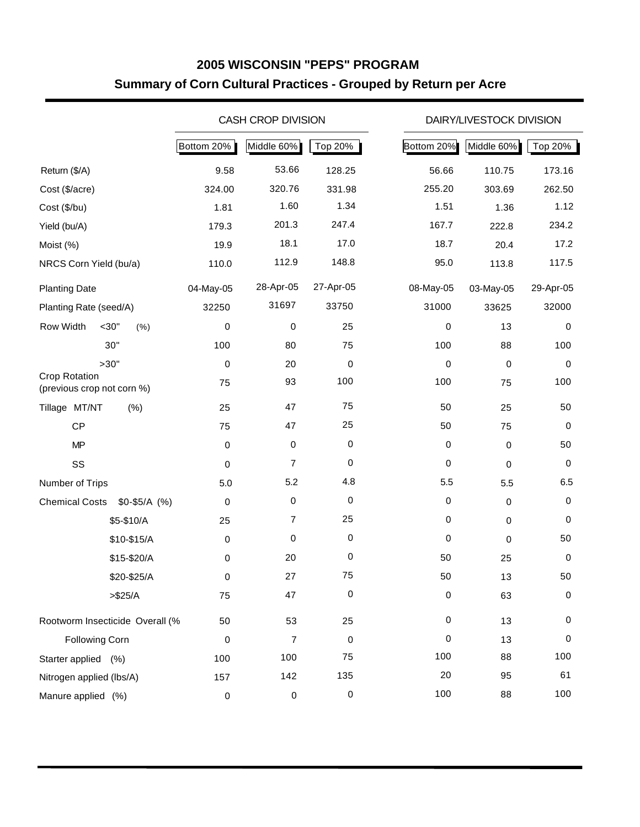## **2005 WISCONSIN "PEPS" PROGRAM Summary of Corn Cultural Practices - Grouped by Return per Acre**

|                                                    |                 |            | <b>CASH CROP DIVISION</b> |           | DAIRY/LIVESTOCK DIVISION            |
|----------------------------------------------------|-----------------|------------|---------------------------|-----------|-------------------------------------|
|                                                    |                 | Bottom 20% | Middle 60%                | Top 20%   | Bottom 20%<br>Middle 60%<br>Top 20% |
| Return (\$/A)                                      |                 | 9.58       | 53.66                     | 128.25    | 56.66<br>110.75<br>173.16           |
| Cost (\$/acre)                                     |                 | 324.00     | 320.76                    | 331.98    | 255.20<br>303.69<br>262.50          |
| Cost (\$/bu)                                       |                 | 1.81       | 1.60                      | 1.34      | 1.51<br>1.12<br>1.36                |
| Yield (bu/A)                                       |                 | 179.3      | 201.3                     | 247.4     | 167.7<br>234.2<br>222.8             |
| Moist (%)                                          |                 | 19.9       | 18.1                      | 17.0      | 18.7<br>17.2<br>20.4                |
| NRCS Corn Yield (bu/a)                             |                 | 110.0      | 112.9                     | 148.8     | 95.0<br>117.5<br>113.8              |
| <b>Planting Date</b>                               |                 | 04-May-05  | 28-Apr-05                 | 27-Apr-05 | 08-May-05<br>29-Apr-05<br>03-May-05 |
| Planting Rate (seed/A)                             |                 | 32250      | 31697                     | 33750     | 31000<br>32000<br>33625             |
| Row Width                                          | $<$ 30"<br>(% ) | 0          | 0                         | 25        | 13<br>0<br>$\mathbf 0$              |
|                                                    | 30"             | 100        | 80                        | 75        | 100<br>100<br>88                    |
|                                                    | >30"            | 0          | 20                        | 0         | 0<br>0<br>0                         |
| <b>Crop Rotation</b><br>(previous crop not corn %) |                 | 75         | 93                        | 100       | 100<br>100<br>75                    |
| Tillage MT/NT                                      | (% )            | 25         | 47                        | 75        | 50<br>50<br>25                      |
| <b>CP</b>                                          |                 | 75         | 47                        | 25        | 50<br>0<br>75                       |
| MP                                                 |                 | 0          | 0                         | 0         | 0<br>0<br>50                        |
| SS                                                 |                 | 0          | $\overline{7}$            | 0         | 0<br>0<br>0                         |
| Number of Trips                                    |                 | 5.0        | 5.2                       | 4.8       | 5.5<br>6.5<br>5.5                   |
| <b>Chemical Costs</b>                              | $$0-$5/A$ (%)   | 0          | 0                         | 0         | 0<br>0<br>0                         |
|                                                    | \$5-\$10/A      | 25         | $\overline{7}$            | 25        | 0<br>0<br>0                         |
|                                                    | \$10-\$15/A     | 0          | 0                         | 0         | 0<br>50<br>0                        |
|                                                    | \$15-\$20/A     | 0          | 20                        | 0         | 50<br>25<br>0                       |
|                                                    | \$20-\$25/A     | $\pmb{0}$  | 27                        | 75        | 50<br>50<br>13                      |
|                                                    | > \$25/A        | 75         | 47                        | 0         | 0<br>63<br>0                        |
| Rootworm Insecticide Overall (%                    |                 | 50         | 53                        | 25        | 0<br>13<br>0                        |
| <b>Following Corn</b>                              |                 | 0          | $\overline{7}$            | 0         | 0<br>13<br>0                        |
| Starter applied (%)                                |                 | 100        | 100                       | 75        | 100<br>100<br>88                    |
| Nitrogen applied (lbs/A)                           |                 | 157        | 142                       | 135       | 20<br>61<br>95                      |
| Manure applied (%)                                 |                 | 0          | $\pmb{0}$                 | 0         | 100<br>100<br>88                    |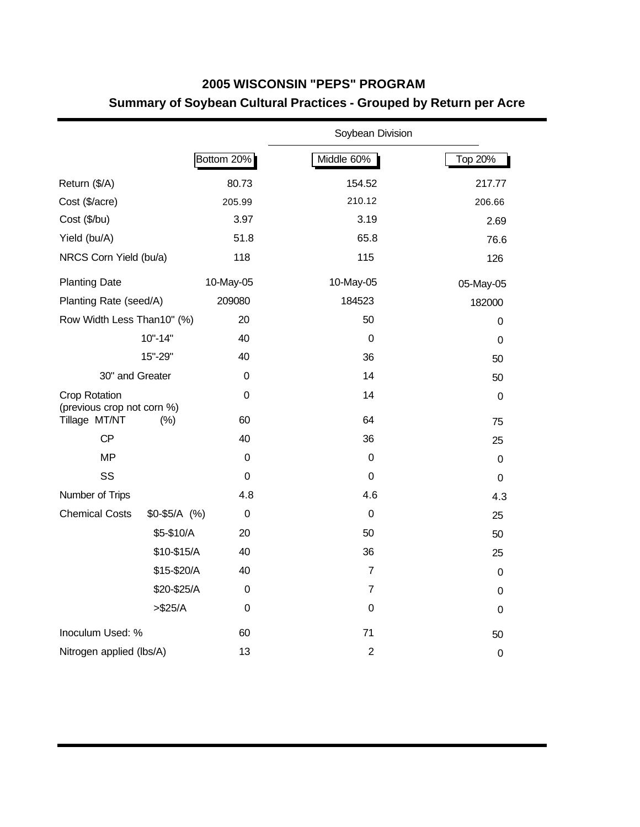## **2005 WISCONSIN "PEPS" PROGRAM Summary of Soybean Cultural Practices - Grouped by Return per Acre**

|                                             |               |             | Soybean Division |             |
|---------------------------------------------|---------------|-------------|------------------|-------------|
|                                             |               | Bottom 20%  | Middle 60%       | Top 20%     |
| Return (\$/A)                               |               | 80.73       | 154.52           | 217.77      |
| Cost (\$/acre)                              |               | 205.99      | 210.12           | 206.66      |
| Cost (\$/bu)                                |               | 3.97        | 3.19             | 2.69        |
| Yield (bu/A)                                |               | 51.8        | 65.8             | 76.6        |
| NRCS Corn Yield (bu/a)                      |               | 118         | 115              | 126         |
| <b>Planting Date</b>                        |               | 10-May-05   | 10-May-05        | 05-May-05   |
| Planting Rate (seed/A)                      |               | 209080      | 184523           | 182000      |
| Row Width Less Than10" (%)                  |               | 20          | 50               | 0           |
|                                             | $10" - 14"$   | 40          | 0                | 0           |
|                                             | 15"-29"       | 40          | 36               | 50          |
| 30" and Greater                             |               | $\mathbf 0$ | 14               | 50          |
| Crop Rotation<br>(previous crop not corn %) |               | 0           | 14               | 0           |
| Tillage MT/NT                               | (% )          | 60          | 64               | 75          |
| CP                                          |               | 40          | 36               | 25          |
| <b>MP</b>                                   |               | 0           | 0                | 0           |
| SS                                          |               | 0           | $\mathbf 0$      | $\mathbf 0$ |
| Number of Trips                             |               | 4.8         | 4.6              | 4.3         |
| <b>Chemical Costs</b>                       | $$0-$5/A$ (%) | 0           | $\mathbf 0$      | 25          |
|                                             | \$5-\$10/A    | 20          | 50               | 50          |
|                                             | \$10-\$15/A   | 40          | 36               | 25          |
|                                             | \$15-\$20/A   | 40          | $\overline{7}$   | 0           |
|                                             | \$20-\$25/A   | 0           | $\overline{7}$   | 0           |
|                                             | > \$25/A      | 0           | $\mathbf 0$      | 0           |
| Inoculum Used: %                            |               | 60          | 71               | 50          |
| Nitrogen applied (lbs/A)                    |               | 13          | $\overline{2}$   | $\mathbf 0$ |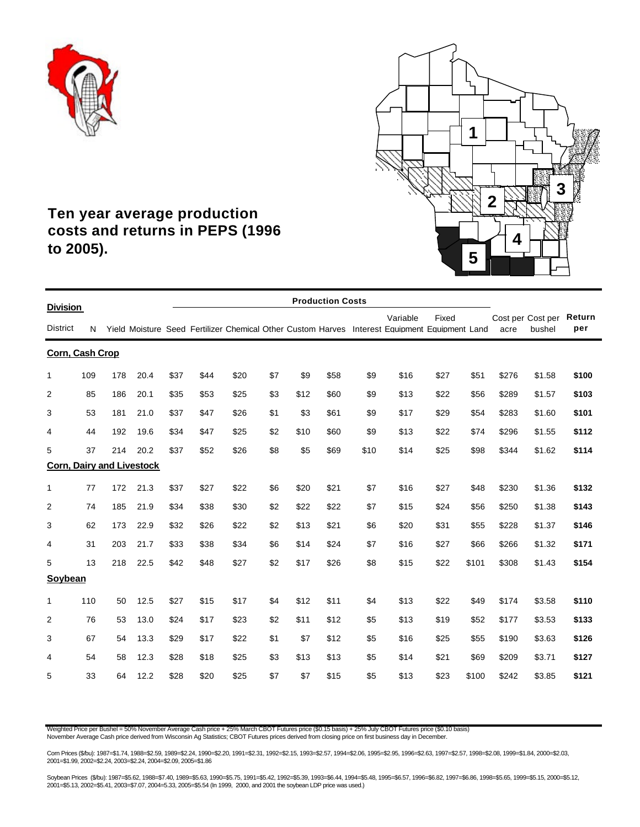



## **Ten year average production costs and returns in PEPS (1996 to 2005).**

|                                    |     |     |      |      |      |      |     |      | <b>Production Costs</b> |      |                                                                                                           |       |       |       |                             |               |
|------------------------------------|-----|-----|------|------|------|------|-----|------|-------------------------|------|-----------------------------------------------------------------------------------------------------------|-------|-------|-------|-----------------------------|---------------|
| <b>Division</b><br><b>District</b> | N   |     |      |      |      |      |     |      |                         |      | Variable<br>Yield Moisture Seed Fertilizer Chemical Other Custom Harves Interest Equipment Equipment Land | Fixed |       | acre  | Cost per Cost per<br>bushel | Return<br>per |
| Corn, Cash Crop                    |     |     |      |      |      |      |     |      |                         |      |                                                                                                           |       |       |       |                             |               |
| $\mathbf{1}$                       | 109 | 178 | 20.4 | \$37 | \$44 | \$20 | \$7 | \$9  | \$58                    | \$9  | \$16                                                                                                      | \$27  | \$51  | \$276 | \$1.58                      | \$100         |
| $\overline{2}$                     | 85  | 186 | 20.1 | \$35 | \$53 | \$25 | \$3 | \$12 | \$60                    | \$9  | \$13                                                                                                      | \$22  | \$56  | \$289 | \$1.57                      | \$103         |
| 3                                  | 53  | 181 | 21.0 | \$37 | \$47 | \$26 | \$1 | \$3  | \$61                    | \$9  | \$17                                                                                                      | \$29  | \$54  | \$283 | \$1.60                      | \$101         |
| 4                                  | 44  | 192 | 19.6 | \$34 | \$47 | \$25 | \$2 | \$10 | \$60                    | \$9  | \$13                                                                                                      | \$22  | \$74  | \$296 | \$1.55                      | \$112         |
| 5                                  | 37  | 214 | 20.2 | \$37 | \$52 | \$26 | \$8 | \$5  | \$69                    | \$10 | \$14                                                                                                      | \$25  | \$98  | \$344 | \$1.62                      | \$114         |
| <b>Corn, Dairy and Livestock</b>   |     |     |      |      |      |      |     |      |                         |      |                                                                                                           |       |       |       |                             |               |
| 1                                  | 77  | 172 | 21.3 | \$37 | \$27 | \$22 | \$6 | \$20 | \$21                    | \$7  | \$16                                                                                                      | \$27  | \$48  | \$230 | \$1.36                      | \$132         |
| 2                                  | 74  | 185 | 21.9 | \$34 | \$38 | \$30 | \$2 | \$22 | \$22                    | \$7  | \$15                                                                                                      | \$24  | \$56  | \$250 | \$1.38                      | \$143         |
| 3                                  | 62  | 173 | 22.9 | \$32 | \$26 | \$22 | \$2 | \$13 | \$21                    | \$6  | \$20                                                                                                      | \$31  | \$55  | \$228 | \$1.37                      | \$146         |
| 4                                  | 31  | 203 | 21.7 | \$33 | \$38 | \$34 | \$6 | \$14 | \$24                    | \$7  | \$16                                                                                                      | \$27  | \$66  | \$266 | \$1.32                      | \$171         |
| 5                                  | 13  | 218 | 22.5 | \$42 | \$48 | \$27 | \$2 | \$17 | \$26                    | \$8  | \$15                                                                                                      | \$22  | \$101 | \$308 | \$1.43                      | \$154         |
| Soybean                            |     |     |      |      |      |      |     |      |                         |      |                                                                                                           |       |       |       |                             |               |
| 1                                  | 110 | 50  | 12.5 | \$27 | \$15 | \$17 | \$4 | \$12 | \$11                    | \$4  | \$13                                                                                                      | \$22  | \$49  | \$174 | \$3.58                      | \$110         |
| $\overline{2}$                     | 76  | 53  | 13.0 | \$24 | \$17 | \$23 | \$2 | \$11 | \$12                    | \$5  | \$13                                                                                                      | \$19  | \$52  | \$177 | \$3.53                      | \$133         |
| 3                                  | 67  | 54  | 13.3 | \$29 | \$17 | \$22 | \$1 | \$7  | \$12                    | \$5  | \$16                                                                                                      | \$25  | \$55  | \$190 | \$3.63                      | \$126         |
| 4                                  | 54  | 58  | 12.3 | \$28 | \$18 | \$25 | \$3 | \$13 | \$13                    | \$5  | \$14                                                                                                      | \$21  | \$69  | \$209 | \$3.71                      | \$127         |
| 5                                  | 33  | 64  | 12.2 | \$28 | \$20 | \$25 | \$7 | \$7  | \$15                    | \$5  | \$13                                                                                                      | \$23  | \$100 | \$242 | \$3.85                      | \$121         |

Weighted Price per Bushel = 50% November Average Cash price + 25% March CBOT Futures price (\$0.15 basis) + 25% July CBOT Futures price (\$0.10 basis)<br>November Average Cash price derived from Wisconsin Ag Statistics; CBOT Fu

Com Prices (\$/bu): 1987=\$1.74, 1988=\$2.59, 1989=\$2.24, 1990=\$2.20, 1991=\$2.31, 1992=\$2.15, 1993=\$2.57, 1994=\$2.06, 1995=\$2.95, 1996=\$2.63, 1997=\$2.57, 1998=\$2.08, 1999=\$1.84, 2000=\$2.03,<br>2001=\$1.99, 2002=\$2.24, 2003=\$2.24

Soybean Prices (\$/bu): 1987=\$5.62, 1988=\$7.40, 1989=\$5.63, 1990=\$5.75, 1991=\$5.42, 1992=\$5.39, 1993=\$6.44, 1994=\$5.48, 1995=\$6.57, 1996=\$6.82, 1997=\$6.86, 1998=\$5.65, 1999=\$5.15, 2000=\$5.12, 2001=\$5.13, 2002=\$5.41, 2003=\$7.07, 2004=5.33, 2005=\$5.54 (In 1999, 2000, and 2001 the soybean LDP price was used.)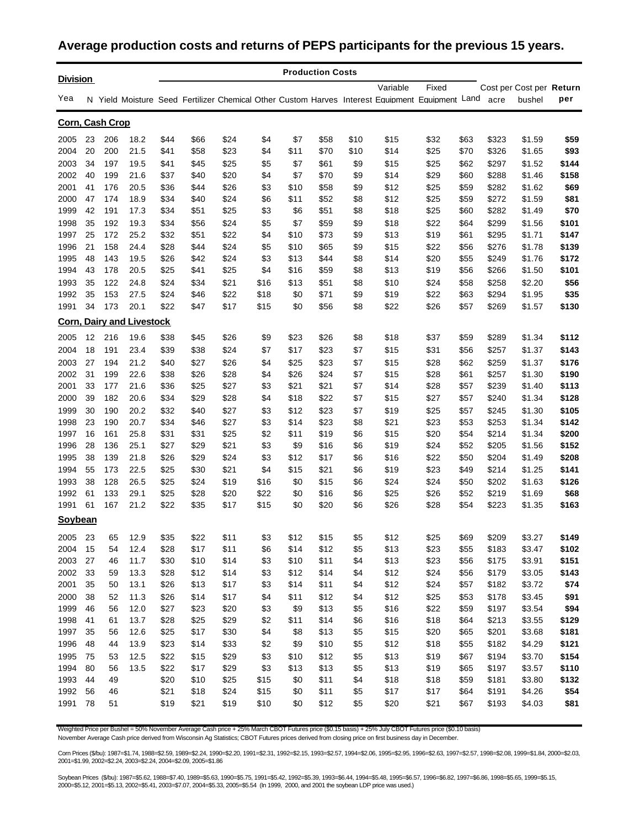#### **Average production costs and returns of PEPS participants for the previous 15 years.**

| <b>Division</b> |    |     |                                  |      |      |      |      |      | <b>Production Costs</b> |      |                                                                                                 |       |      |       |                          |       |
|-----------------|----|-----|----------------------------------|------|------|------|------|------|-------------------------|------|-------------------------------------------------------------------------------------------------|-------|------|-------|--------------------------|-------|
|                 |    |     |                                  |      |      |      |      |      |                         |      | Variable                                                                                        | Fixed |      |       | Cost per Cost per Return |       |
| Yea             |    |     |                                  |      |      |      |      |      |                         |      | N Yield Moisture Seed Fertilizer Chemical Other Custom Harves Interest Equipment Equipment Land |       |      | acre  | bushel                   | per   |
| Corn, Cash Crop |    |     |                                  |      |      |      |      |      |                         |      |                                                                                                 |       |      |       |                          |       |
| 2005            | 23 | 206 | 18.2                             | \$44 | \$66 | \$24 | \$4  | \$7  | \$58                    | \$10 | \$15                                                                                            | \$32  | \$63 | \$323 | \$1.59                   | \$59  |
| 2004            | 20 | 200 | 21.5                             | \$41 | \$58 | \$23 | \$4  | \$11 | \$70                    | \$10 | \$14                                                                                            | \$25  | \$70 | \$326 | \$1.65                   | \$93  |
| 2003            | 34 | 197 | 19.5                             | \$41 | \$45 | \$25 | \$5  | \$7  | \$61                    | \$9  | \$15                                                                                            | \$25  | \$62 | \$297 | \$1.52                   | \$144 |
| 2002            | 40 | 199 | 21.6                             | \$37 | \$40 | \$20 | \$4  | \$7  | \$70                    | \$9  | \$14                                                                                            | \$29  | \$60 | \$288 | \$1.46                   | \$158 |
| 2001            | 41 | 176 | 20.5                             | \$36 | \$44 | \$26 | \$3  | \$10 | \$58                    | \$9  | \$12                                                                                            | \$25  | \$59 | \$282 | \$1.62                   | \$69  |
| 2000            | 47 | 174 | 18.9                             | \$34 | \$40 | \$24 | \$6  | \$11 | \$52                    | \$8  | \$12                                                                                            | \$25  | \$59 | \$272 | \$1.59                   | \$81  |
| 1999            | 42 | 191 | 17.3                             | \$34 | \$51 | \$25 | \$3  | \$6  | \$51                    | \$8  | \$18                                                                                            | \$25  | \$60 | \$282 | \$1.49                   | \$70  |
| 1998            | 35 | 192 | 19.3                             | \$34 | \$56 | \$24 | \$5  | \$7  | \$59                    | \$9  | \$18                                                                                            | \$22  | \$64 | \$299 | \$1.56                   | \$101 |
| 1997            | 25 | 172 | 25.2                             | \$32 | \$51 | \$22 | \$4  | \$10 | \$73                    | \$9  | \$13                                                                                            | \$19  | \$61 | \$295 | \$1.71                   | \$147 |
| 1996            | 21 | 158 | 24.4                             | \$28 | \$44 | \$24 | \$5  | \$10 | \$65                    | \$9  | \$15                                                                                            | \$22  | \$56 | \$276 | \$1.78                   | \$139 |
| 1995            | 48 | 143 | 19.5                             | \$26 | \$42 | \$24 | \$3  | \$13 | \$44                    | \$8  | \$14                                                                                            | \$20  | \$55 | \$249 | \$1.76                   | \$172 |
| 1994            | 43 | 178 | 20.5                             | \$25 | \$41 | \$25 | \$4  | \$16 | \$59                    | \$8  | \$13                                                                                            | \$19  | \$56 | \$266 | \$1.50                   | \$101 |
| 1993            | 35 | 122 | 24.8                             | \$24 | \$34 | \$21 | \$16 | \$13 | \$51                    | \$8  | \$10                                                                                            | \$24  | \$58 | \$258 | \$2.20                   | \$56  |
| 1992            | 35 | 153 | 27.5                             | \$24 | \$46 | \$22 | \$18 | \$0  | \$71                    | \$9  | \$19                                                                                            | \$22  | \$63 | \$294 | \$1.95                   | \$35  |
| 1991            | 34 | 173 | 20.1                             | \$22 | \$47 | \$17 | \$15 | \$0  | \$56                    | \$8  | \$22                                                                                            | \$26  | \$57 | \$269 | \$1.57                   | \$130 |
|                 |    |     | <b>Corn, Dairy and Livestock</b> |      |      |      |      |      |                         |      |                                                                                                 |       |      |       |                          |       |
| 2005            | 12 | 216 | 19.6                             | \$38 | \$45 | \$26 | \$9  | \$23 | \$26                    | \$8  | \$18                                                                                            | \$37  | \$59 | \$289 | \$1.34                   | \$112 |
| 2004            | 18 | 191 | 23.4                             | \$39 | \$38 | \$24 | \$7  | \$17 | \$23                    | \$7  | \$15                                                                                            | \$31  | \$56 | \$257 | \$1.37                   | \$143 |
| 2003            | 27 | 194 | 21.2                             | \$40 | \$27 | \$26 | \$4  | \$25 | \$23                    | \$7  | \$15                                                                                            | \$28  | \$62 | \$259 | \$1.37                   | \$176 |
| 2002            | 31 | 199 | 22.6                             | \$38 | \$26 | \$28 | \$4  | \$26 | \$24                    | \$7  | \$15                                                                                            | \$28  | \$61 | \$257 | \$1.30                   | \$190 |
| 2001            | 33 | 177 | 21.6                             | \$36 | \$25 | \$27 | \$3  | \$21 | \$21                    | \$7  | \$14                                                                                            | \$28  | \$57 | \$239 | \$1.40                   | \$113 |
| 2000            | 39 | 182 | 20.6                             | \$34 | \$29 | \$28 | \$4  | \$18 | \$22                    | \$7  | \$15                                                                                            | \$27  | \$57 | \$240 | \$1.34                   | \$128 |
| 1999            | 30 | 190 | 20.2                             | \$32 | \$40 | \$27 | \$3  | \$12 | \$23                    | \$7  | \$19                                                                                            | \$25  | \$57 | \$245 | \$1.30                   | \$105 |
| 1998            | 23 | 190 | 20.7                             | \$34 | \$46 | \$27 | \$3  | \$14 | \$23                    | \$8  | \$21                                                                                            | \$23  | \$53 | \$253 | \$1.34                   | \$142 |
| 1997            | 16 | 161 | 25.8                             | \$31 | \$31 | \$25 | \$2  | \$11 | \$19                    | \$6  | \$15                                                                                            | \$20  | \$54 | \$214 | \$1.34                   | \$200 |
| 1996            | 28 | 136 | 25.1                             | \$27 | \$29 | \$21 | \$3  | \$9  | \$16                    | \$6  | \$19                                                                                            | \$24  | \$52 | \$205 | \$1.56                   | \$152 |
| 1995            | 38 | 139 | 21.8                             | \$26 | \$29 | \$24 | \$3  | \$12 | \$17                    | \$6  | \$16                                                                                            | \$22  | \$50 | \$204 | \$1.49                   | \$208 |
| 1994            | 55 | 173 | 22.5                             | \$25 | \$30 | \$21 | \$4  | \$15 | \$21                    | \$6  | \$19                                                                                            | \$23  | \$49 | \$214 | \$1.25                   | \$141 |
| 1993            | 38 | 128 | 26.5                             | \$25 | \$24 | \$19 | \$16 | \$0  | \$15                    | \$6  | \$24                                                                                            | \$24  | \$50 | \$202 | \$1.63                   | \$126 |
| 1992            | 61 | 133 | 29.1                             | \$25 | \$28 | \$20 | \$22 | \$0  | \$16                    | \$6  | \$25                                                                                            | \$26  | \$52 | \$219 | \$1.69                   | \$68  |
| 1991            | 61 | 167 | 21.2                             | \$22 | \$35 | \$17 | \$15 | \$0  | \$20                    | \$6  | \$26                                                                                            | \$28  | \$54 | \$223 | \$1.35                   | \$163 |
| Soybean         |    |     |                                  |      |      |      |      |      |                         |      |                                                                                                 |       |      |       |                          |       |
| 2005            | 23 | 65  | 12.9                             | \$35 | \$22 | \$11 | \$3  | \$12 | \$15                    | \$5  | \$12                                                                                            | \$25  | \$69 | \$209 | \$3.27                   | \$149 |
| 2004            | 15 | 54  | 12.4                             | \$28 | \$17 | \$11 | \$6  | \$14 | \$12                    | \$5  | \$13                                                                                            | \$23  | \$55 | \$183 | \$3.47                   | \$102 |
| 2003            | 27 | 46  | 11.7                             | \$30 | \$10 | \$14 | \$3  | \$10 | \$11                    | \$4  | \$13                                                                                            | \$23  | \$56 | \$175 | \$3.91                   | \$151 |
| 2002            | 33 | 59  | 13.3                             | \$28 | \$12 | \$14 | \$3  | \$12 | \$14                    | \$4  | \$12                                                                                            | \$24  | \$56 | \$179 | \$3.05                   | \$143 |
| 2001            | 35 | 50  | 13.1                             | \$26 | \$13 | \$17 | \$3  | \$14 | \$11                    | \$4  | \$12                                                                                            | \$24  | \$57 | \$182 | \$3.72                   | \$74  |
| 2000            | 38 | 52  | 11.3                             | \$26 | \$14 | \$17 | \$4  | \$11 | \$12                    | \$4  | \$12                                                                                            | \$25  | \$53 | \$178 | \$3.45                   | \$91  |
| 1999            | 46 | 56  | 12.0                             | \$27 | \$23 | \$20 | \$3  | \$9  | \$13                    | \$5  | \$16                                                                                            | \$22  | \$59 | \$197 | \$3.54                   | \$94  |
| 1998            | 41 | 61  | 13.7                             | \$28 | \$25 | \$29 | \$2  | \$11 | \$14                    | \$6  | \$16                                                                                            | \$18  | \$64 | \$213 | \$3.55                   | \$129 |
| 1997            | 35 | 56  | 12.6                             | \$25 | \$17 | \$30 | \$4  | \$8  | \$13                    | \$5  | \$15                                                                                            | \$20  | \$65 | \$201 | \$3.68                   | \$181 |
| 1996            | 48 | 44  | 13.9                             | \$23 | \$14 | \$33 | \$2  | \$9  | \$10                    | \$5  | \$12                                                                                            | \$18  | \$55 | \$182 | \$4.29                   | \$121 |
| 1995            | 75 | 53  | 12.5                             | \$22 | \$15 | \$29 | \$3  | \$10 | \$12                    | \$5  | \$13                                                                                            | \$19  | \$67 | \$194 | \$3.70                   | \$154 |
| 1994            | 80 | 56  | 13.5                             | \$22 | \$17 | \$29 | \$3  | \$13 | \$13                    | \$5  | \$13                                                                                            | \$19  | \$65 | \$197 | \$3.57                   | \$110 |
| 1993            | 44 | 49  |                                  | \$20 | \$10 | \$25 | \$15 | \$0  | \$11                    | \$4  | \$18                                                                                            | \$18  | \$59 | \$181 | \$3.80                   | \$132 |
| 1992            | 56 | 46  |                                  | \$21 | \$18 | \$24 | \$15 | \$0  | \$11                    | \$5  | \$17                                                                                            | \$17  | \$64 | \$191 | \$4.26                   | \$54  |
| 1991            | 78 | 51  |                                  | \$19 | \$21 | \$19 | \$10 | \$0  | \$12                    | \$5  | \$20                                                                                            | \$21  | \$67 | \$193 | \$4.03                   | \$81  |

Weighted Price per Bushel = 50% November Average Cash price + 25% March CBOT Futures price (\$0.15 basis) + 25% July CBOT Futures price (\$0.10 basis) November Average Cash price derived from Wisconsin Ag Statistics; CBOT Futures prices derived from closing price on first business day in December.

Corn Prices (\$/bu): 1987=\$1.74, 1988=\$2.59, 1989=\$2.24, 1990=\$2.20, 1991=\$2.31, 1992=\$2.15, 1993=\$2.57, 1994=\$2.06, 1995=\$2.95, 1996=\$2.63, 1997=\$2.57, 1998=\$2.08, 1999=\$1.84, 2000=\$2.03, 2001=\$1.99, 2002=\$2.24, 2003=\$2.24, 2004=\$2.09, 2005=\$1.86

Soybean Prices (\$/bu): 1987=\$5.62, 1988=\$7.40, 1989=\$5.63, 1990=\$5.75, 1991=\$5.42, 1992=\$5.39, 1993=\$6.44, 1994=\$5.48, 1995=\$6.57, 1996=\$6.82, 1997=\$6.86, 1998=\$6.65, 1999=\$5.15, 2000=\$5.12, 2001=\$5.13, 2002=\$5.41, 2003=\$7.07, 2004=\$5.33, 2005=\$5.54 (In 1999, 2000, and 2001 the soybean LDP price was used.)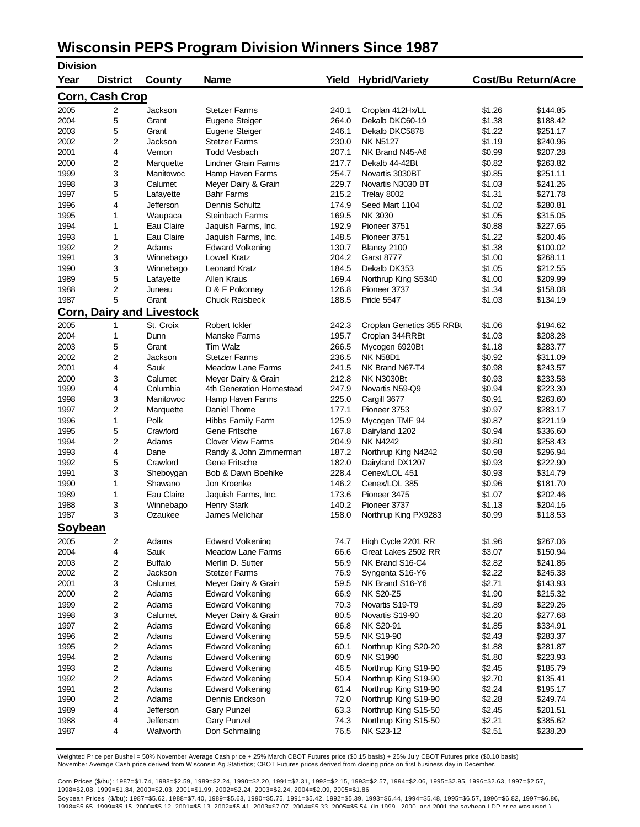# **Wisconsin PEPS Program Division Winners Since 1987**

| <b>Division</b> |                 |                            |                            |       |                           |        |                            |
|-----------------|-----------------|----------------------------|----------------------------|-------|---------------------------|--------|----------------------------|
| Year            | <b>District</b> | <b>County</b>              | <b>Name</b>                | Yield | <b>Hybrid/Variety</b>     |        | <b>Cost/Bu Return/Acre</b> |
| Corn, Cash Crop |                 |                            |                            |       |                           |        |                            |
| 2005            | 2               | Jackson                    | <b>Stetzer Farms</b>       | 240.1 | Croplan 412Hx/LL          | \$1.26 | \$144.85                   |
| 2004            | 5               | Grant                      | Eugene Steiger             | 264.0 | Dekalb DKC60-19           | \$1.38 | \$188.42                   |
| 2003            | 5               | Grant                      | Eugene Steiger             | 246.1 | Dekalb DKC5878            | \$1.22 | \$251.17                   |
| 2002            | 2               | Jackson                    | <b>Stetzer Farms</b>       | 230.0 | <b>NK N5127</b>           | \$1.19 | \$240.96                   |
| 2001            | 4               | Vernon                     | <b>Todd Vesbach</b>        | 207.1 | NK Brand N45-A6           | \$0.99 | \$207.28                   |
| 2000            | 2               | Marquette                  | <b>Lindner Grain Farms</b> | 217.7 | Dekalb 44-42Bt            | \$0.82 | \$263.82                   |
| 1999            | 3               | Manitowoc                  | Hamp Haven Farms           | 254.7 | Novartis 3030BT           | \$0.85 | \$251.11                   |
| 1998            | 3               | Calumet                    | Meyer Dairy & Grain        | 229.7 | Novartis N3030 BT         | \$1.03 | \$241.26                   |
| 1997            | 5               | Lafayette                  | <b>Bahr Farms</b>          | 215.2 | Trelay 8002               | \$1.31 | \$271.78                   |
| 1996            | 4               | Jefferson                  | Dennis Schultz             | 174.9 | Seed Mart 1104            | \$1.02 | \$280.81                   |
| 1995            | 1               | Waupaca                    | <b>Steinbach Farms</b>     | 169.5 | NK 3030                   | \$1.05 | \$315.05                   |
| 1994            | 1               | Eau Claire                 | Jaquish Farms, Inc.        | 192.9 | Pioneer 3751              | \$0.88 | \$227.65                   |
| 1993            | 1               | Eau Claire                 | Jaquish Farms, Inc.        | 148.5 | Pioneer 3751              | \$1.22 | \$200.46                   |
| 1992            | 2               | Adams                      | <b>Edward Volkening</b>    | 130.7 | Blaney 2100               | \$1.38 | \$100.02                   |
| 1991            | 3               | Winnebago                  | <b>Lowell Kratz</b>        | 204.2 | <b>Garst 8777</b>         | \$1.00 | \$268.11                   |
| 1990            | 3               | Winnebago                  | <b>Leonard Kratz</b>       | 184.5 | Dekalb DK353              | \$1.05 | \$212.55                   |
| 1989            | 5               | Lafayette                  | <b>Allen Kraus</b>         | 169.4 | Northrup King S5340       | \$1.00 | \$209.99                   |
| 1988            | 2               | Juneau                     | D & F Pokorney             | 126.8 | Pioneer 3737              | \$1.34 | \$158.08                   |
| 1987            | 5               | Grant                      | Chuck Raisbeck             | 188.5 | <b>Pride 5547</b>         | \$1.03 | \$134.19                   |
| <u>Corn,</u>    |                 | <b>Dairy and Livestock</b> |                            |       |                           |        |                            |
| 2005            | 1               | St. Croix                  | Robert Ickler              | 242.3 | Croplan Genetics 355 RRBt | \$1.06 | \$194.62                   |
| 2004            | 1               | Dunn                       | Manske Farms               | 195.7 | Croplan 344RRBt           | \$1.03 | \$208.28                   |
| 2003            | 5               | Grant                      | <b>Tim Walz</b>            | 266.5 | Mycogen 6920Bt            | \$1.18 | \$283.77                   |
| 2002            | 2               | Jackson                    | <b>Stetzer Farms</b>       | 236.5 | <b>NK N58D1</b>           | \$0.92 | \$311.09                   |
| 2001            | 4               | Sauk                       | <b>Meadow Lane Farms</b>   | 241.5 | NK Brand N67-T4           | \$0.98 | \$243.57                   |
| 2000            | 3               | Calumet                    | Meyer Dairy & Grain        | 212.8 | <b>NK N3030Bt</b>         | \$0.93 | \$233.58                   |
| 1999            | 4               | Columbia                   | 4th Generation Homestead   | 247.9 | Novartis N59-Q9           | \$0.94 | \$223.30                   |
| 1998            | 3               | Manitowoc                  | Hamp Haven Farms           | 225.0 | Cargill 3677              | \$0.91 | \$263.60                   |
| 1997            | 2               | Marquette                  | Daniel Thome               | 177.1 | Pioneer 3753              | \$0.97 | \$283.17                   |
| 1996            | 1               | Polk                       | <b>Hibbs Family Farm</b>   | 125.9 | Mycogen TMF 94            | \$0.87 | \$221.19                   |
| 1995            | 5               | Crawford                   | Gene Fritsche              | 167.8 | Dairyland 1202            | \$0.94 | \$336.60                   |
| 1994            | 2               | Adams                      | <b>Clover View Farms</b>   | 204.9 | <b>NK N4242</b>           | \$0.80 | \$258.43                   |
| 1993            | 4               | Dane                       | Randy & John Zimmerman     | 187.2 | Northrup King N4242       | \$0.98 | \$296.94                   |
| 1992            | 5               | Crawford                   | Gene Fritsche              | 182.0 | Dairyland DX1207          | \$0.93 | \$222.90                   |
| 1991            | 3               | Sheboygan                  | Bob & Dawn Boehlke         | 228.4 | Cenex/LOL 451             | \$0.93 | \$314.79                   |
| 1990            | 1               | Shawano                    | Jon Kroenke                | 146.2 | Cenex/LOL 385             | \$0.96 | \$181.70                   |
| 1989            | 1               | Eau Claire                 | Jaquish Farms, Inc.        | 173.6 | Pioneer 3475              | \$1.07 | \$202.46                   |
| 1988            | 3               | Winnebago                  | <b>Henry Stark</b>         | 140.2 | Pioneer 3737              | \$1.13 | \$204.16                   |
| 1987            | 3               | Ozaukee                    | James Melichar             | 158.0 | Northrup King PX9283      | \$0.99 | \$118.53                   |
| Soybean         |                 |                            |                            |       |                           |        |                            |
| 2005            | 2               | Adams                      | <b>Edward Volkening</b>    | 74.7  | High Cycle 2201 RR        | \$1.96 | \$267.06                   |
| 2004            | 4               | Sauk                       | <b>Meadow Lane Farms</b>   | 66.6  | Great Lakes 2502 RR       | \$3.07 | \$150.94                   |
| 2003            | 2               | <b>Buffalo</b>             | Merlin D. Sutter           | 56.9  | NK Brand S16-C4           | \$2.82 | \$241.86                   |
| 2002            | 2               | Jackson                    | <b>Stetzer Farms</b>       | 76.9  | Syngenta S16-Y6           | \$2.22 | \$245.38                   |
| 2001            | 3               | Calumet                    | Meyer Dairy & Grain        | 59.5  | NK Brand S16-Y6           | \$2.71 | \$143.93                   |
| 2000            | 2               | Adams                      | Edward Volkening           | 66.9  | <b>NK S20-Z5</b>          | \$1.90 | \$215.32                   |
| 1999            | 2               | Adams                      | Edward Volkening           | 70.3  | Novartis S19-T9           | \$1.89 | \$229.26                   |
| 1998            | 3               | Calumet                    | Meyer Dairy & Grain        | 80.5  | Novartis S19-90           | \$2.20 | \$277.68                   |
| 1997            | 2               | Adams                      | <b>Edward Volkening</b>    | 66.8  | NK S20-91                 | \$1.85 | \$334.91                   |
| 1996            | 2               | Adams                      | <b>Edward Volkening</b>    | 59.5  | <b>NK S19-90</b>          | \$2.43 | \$283.37                   |
| 1995            | 2               | Adams                      | <b>Edward Volkening</b>    | 60.1  | Northrup King S20-20      | \$1.88 | \$281.87                   |
| 1994            | 2               | Adams                      | <b>Edward Volkening</b>    | 60.9  | <b>NK S1990</b>           | \$1.80 | \$223.93                   |
| 1993            | 2               | Adams                      | <b>Edward Volkening</b>    | 46.5  | Northrup King S19-90      | \$2.45 | \$185.79                   |
| 1992            | 2               | Adams                      | <b>Edward Volkening</b>    | 50.4  | Northrup King S19-90      | \$2.70 | \$135.41                   |
| 1991            | 2               | Adams                      | <b>Edward Volkening</b>    | 61.4  | Northrup King S19-90      | \$2.24 | \$195.17                   |
| 1990            | 2               | Adams                      | Dennis Erickson            | 72.0  | Northrup King S19-90      | \$2.28 | \$249.74                   |
| 1989            | 4               | Jefferson                  | <b>Gary Punzel</b>         | 63.3  | Northrup King S15-50      | \$2.45 | \$201.51                   |
| 1988            | 4               | Jefferson                  | <b>Gary Punzel</b>         | 74.3  | Northrup King S15-50      | \$2.21 | \$385.62                   |
| 1987            | 4               | Walworth                   | Don Schmaling              | 76.5  | NK S23-12                 | \$2.51 | \$238.20                   |

Weighted Price per Bushel = 50% November Average Cash price + 25% March CBOT Futures price (\$0.15 basis) + 25% July CBOT Futures price (\$0.10 basis)<br>November Average Cash price derived from Wisconsin Ag Statistics; CBOT Fu

Corn Prices (\$/bu): 1987=\$1.74, 1988=\$2.59, 1989=\$2.24, 1990=\$2.20, 1991=\$2.31, 1992=\$2.15, 1993=\$2.57, 1994=\$2.06, 1995=\$2.95, 1996=\$2.63, 1997=\$2.57,<br>1998=\$2.08, 1999=\$1.84, 2000=\$2.03, 2001=\$1.99, 2002=\$2.24, 2003=\$2.24

Soybean Prices (\$/bu): 1987=\$5.62, 1988=\$7.40, 1989=\$5.63, 1990=\$5.75, 1991=\$5.42, 1992=\$5.39, 1993=\$6.44, 1994=\$5.48, 1995=\$6.57, 1996=\$6.82, 1997=\$6.86, 1998=\$5.65, 1999=\$5.15, 2000=\$5.12, 2001=\$5.13, 2002=\$5.41, 2003=\$7.07, 2004=\$5.33, 2005=\$5.54 (In 1999, 2000, and 2001 the soybean LDP price was used.)